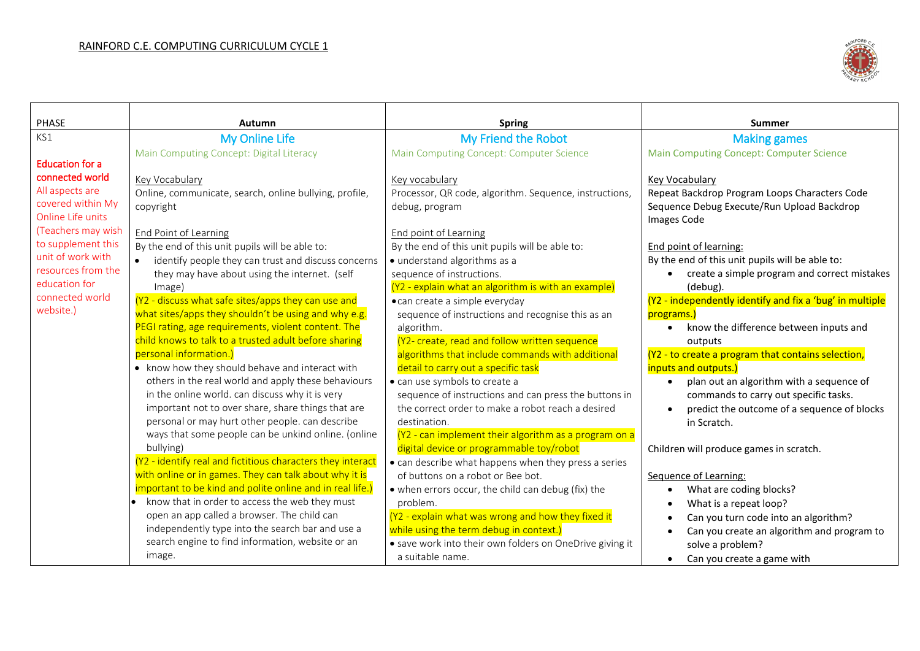

| <b>PHASE</b>                            | Autumn                                                                                                | <b>Spring</b>                                                                   | Summer                                                                    |
|-----------------------------------------|-------------------------------------------------------------------------------------------------------|---------------------------------------------------------------------------------|---------------------------------------------------------------------------|
| KS1                                     | <b>My Online Life</b>                                                                                 | My Friend the Robot                                                             | <b>Making games</b>                                                       |
|                                         | Main Computing Concept: Digital Literacy                                                              | Main Computing Concept: Computer Science                                        | <b>Main Computing Concept: Computer Science</b>                           |
| <b>Education for a</b>                  |                                                                                                       |                                                                                 |                                                                           |
| connected world                         | Key Vocabulary                                                                                        | Key vocabulary                                                                  | Key Vocabulary                                                            |
| All aspects are                         | Online, communicate, search, online bullying, profile,                                                | Processor, QR code, algorithm. Sequence, instructions,                          | Repeat Backdrop Program Loops Characters Code                             |
| covered within My                       | copyright                                                                                             | debug, program                                                                  | Sequence Debug Execute/Run Upload Backdrop                                |
| Online Life units<br>(Teachers may wish |                                                                                                       |                                                                                 | Images Code                                                               |
| to supplement this                      | End Point of Learning                                                                                 | End point of Learning                                                           |                                                                           |
| unit of work with                       | By the end of this unit pupils will be able to:                                                       | By the end of this unit pupils will be able to:<br>· understand algorithms as a | End point of learning:<br>By the end of this unit pupils will be able to: |
| resources from the                      | identify people they can trust and discuss concerns<br>they may have about using the internet. (self  | sequence of instructions.                                                       | • create a simple program and correct mistakes                            |
| education for                           | Image)                                                                                                | (Y2 - explain what an algorithm is with an example)                             | (debug).                                                                  |
| connected world                         | (Y2 - discuss what safe sites/apps they can use and                                                   | • can create a simple everyday                                                  | (Y2 - independently identify and fix a 'bug' in multiple                  |
| website.)                               | what sites/apps they shouldn't be using and why e.g.                                                  | sequence of instructions and recognise this as an                               | programs.)                                                                |
|                                         | PEGI rating, age requirements, violent content. The                                                   | algorithm.                                                                      | know the difference between inputs and                                    |
|                                         | child knows to talk to a trusted adult before sharing                                                 | (Y2- create, read and follow written sequence                                   | outputs                                                                   |
|                                         | personal information.)                                                                                | algorithms that include commands with additional                                | (Y2 - to create a program that contains selection,                        |
|                                         | • know how they should behave and interact with                                                       | detail to carry out a specific task                                             | inputs and outputs.)                                                      |
|                                         | others in the real world and apply these behaviours                                                   | · can use symbols to create a                                                   | plan out an algorithm with a sequence of<br>$\bullet$                     |
|                                         | in the online world. can discuss why it is very<br>important not to over share, share things that are | sequence of instructions and can press the buttons in                           | commands to carry out specific tasks.                                     |
|                                         | personal or may hurt other people. can describe                                                       | the correct order to make a robot reach a desired<br>destination.               | predict the outcome of a sequence of blocks<br>in Scratch.                |
|                                         | ways that some people can be unkind online. (online                                                   | (Y2 - can implement their algorithm as a program on a                           |                                                                           |
|                                         | bullying)                                                                                             | digital device or programmable toy/robot                                        | Children will produce games in scratch.                                   |
|                                         | (Y2 - identify real and fictitious characters they interact                                           | • can describe what happens when they press a series                            |                                                                           |
|                                         | with online or in games. They can talk about why it is                                                | of buttons on a robot or Bee bot.                                               | Sequence of Learning:                                                     |
|                                         | important to be kind and polite online and in real life.)                                             | • when errors occur, the child can debug (fix) the                              | What are coding blocks?                                                   |
|                                         | . know that in order to access the web they must                                                      | problem.                                                                        | What is a repeat loop?                                                    |
|                                         | open an app called a browser. The child can                                                           | (Y2 - explain what was wrong and how they fixed it                              | Can you turn code into an algorithm?                                      |
|                                         | independently type into the search bar and use a                                                      | while using the term debug in context.)                                         | Can you create an algorithm and program to                                |
|                                         | search engine to find information, website or an                                                      | • save work into their own folders on OneDrive giving it                        | solve a problem?                                                          |
|                                         | image.                                                                                                | a suitable name.                                                                | Can you create a game with                                                |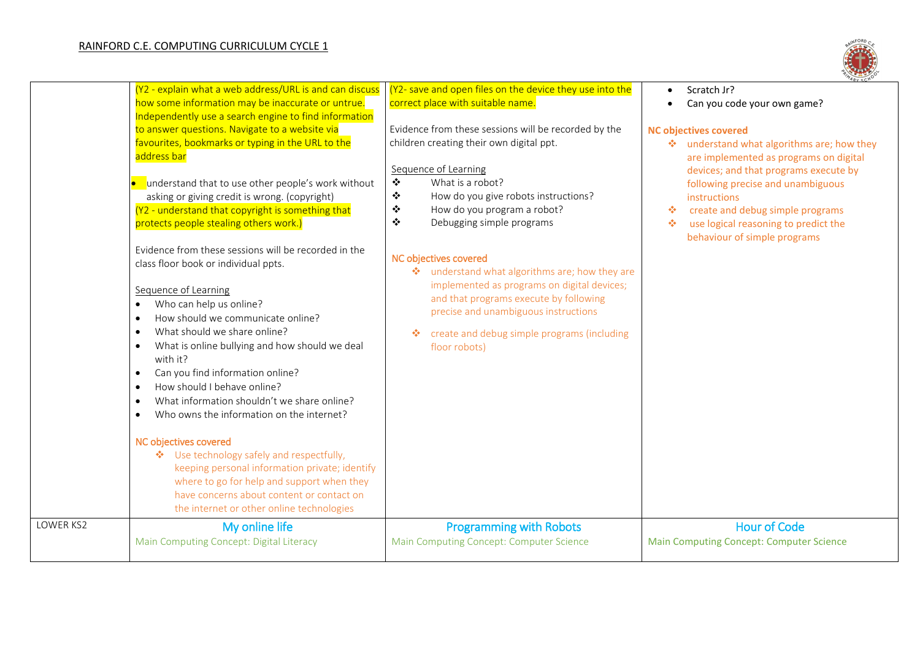## RAINFORD C.E. COMPUTING CURRICULUM CYCLE 1



|           | (Y2 - explain what a web address/URL is and can discuss<br>how some information may be inaccurate or untrue.<br>Independently use a search engine to find information<br>to answer questions. Navigate to a website via<br>favourites, bookmarks or typing in the URL to the<br>address bar<br>understand that to use other people's work without<br>asking or giving credit is wrong. (copyright)<br>(Y2 - understand that copyright is something that<br>protects people stealing others work.)                                                 | (Y2- save and open files on the device they use into the<br>correct place with suitable name.<br>Evidence from these sessions will be recorded by the<br>children creating their own digital ppt.<br>Sequence of Learning<br>$\ddot{\bullet}$<br>What is a robot?<br>$\ddot{\bullet}$<br>How do you give robots instructions?<br>❖<br>How do you program a robot?<br>$\bullet$<br>Debugging simple programs | Scratch Jr?<br>$\bullet$<br>Can you code your own game?<br>$\bullet$<br><b>NC objectives covered</b><br>❖ understand what algorithms are; how they<br>are implemented as programs on digital<br>devices; and that programs execute by<br>following precise and unambiguous<br>instructions<br>create and debug simple programs<br>壘<br>use logical reasoning to predict the<br>❖<br>behaviour of simple programs |
|-----------|---------------------------------------------------------------------------------------------------------------------------------------------------------------------------------------------------------------------------------------------------------------------------------------------------------------------------------------------------------------------------------------------------------------------------------------------------------------------------------------------------------------------------------------------------|-------------------------------------------------------------------------------------------------------------------------------------------------------------------------------------------------------------------------------------------------------------------------------------------------------------------------------------------------------------------------------------------------------------|------------------------------------------------------------------------------------------------------------------------------------------------------------------------------------------------------------------------------------------------------------------------------------------------------------------------------------------------------------------------------------------------------------------|
|           | Evidence from these sessions will be recorded in the<br>class floor book or individual ppts.<br>Sequence of Learning<br>Who can help us online?<br>$\bullet$<br>How should we communicate online?<br>$\bullet$<br>What should we share online?<br>$\bullet$<br>What is online bullying and how should we deal<br>٠<br>with it?<br>Can you find information online?<br>$\bullet$<br>How should I behave online?<br>$\bullet$<br>What information shouldn't we share online?<br>$\bullet$<br>Who owns the information on the internet?<br>$\bullet$ | NC objectives covered<br>* understand what algorithms are; how they are<br>implemented as programs on digital devices;<br>and that programs execute by following<br>precise and unambiguous instructions<br>create and debug simple programs (including<br>❖<br>floor robots)                                                                                                                               |                                                                                                                                                                                                                                                                                                                                                                                                                  |
|           | NC objectives covered<br>❖ Use technology safely and respectfully,<br>keeping personal information private; identify<br>where to go for help and support when they<br>have concerns about content or contact on<br>the internet or other online technologies                                                                                                                                                                                                                                                                                      |                                                                                                                                                                                                                                                                                                                                                                                                             |                                                                                                                                                                                                                                                                                                                                                                                                                  |
| LOWER KS2 | My online life<br>Main Computing Concept: Digital Literacy                                                                                                                                                                                                                                                                                                                                                                                                                                                                                        | <b>Programming with Robots</b><br>Main Computing Concept: Computer Science                                                                                                                                                                                                                                                                                                                                  | <b>Hour of Code</b><br><b>Main Computing Concept: Computer Science</b>                                                                                                                                                                                                                                                                                                                                           |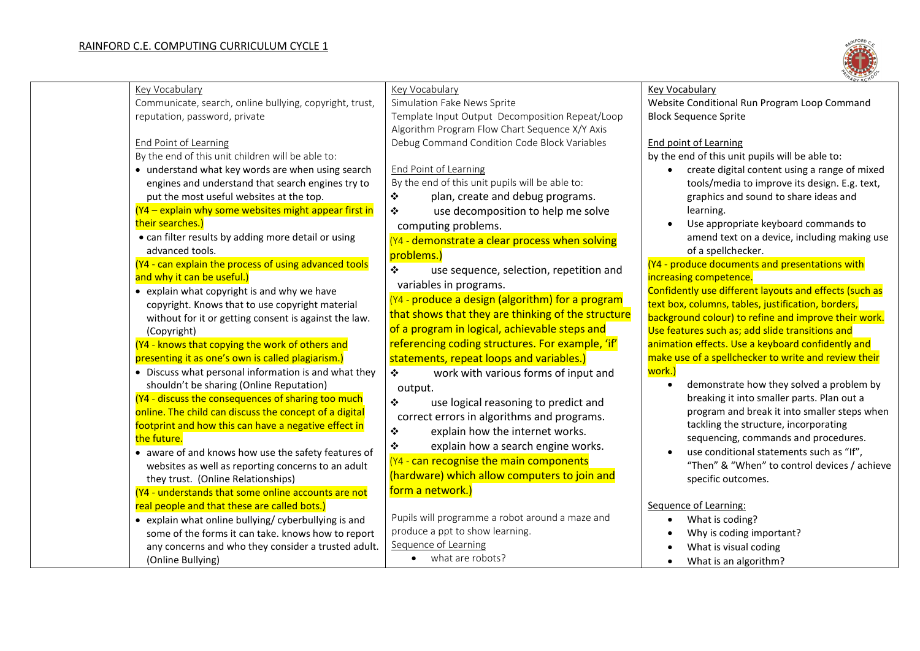

| <b>Key Vocabulary</b>                                   | Key Vocabulary                                             | <b>Key Vocabulary</b>                                  |
|---------------------------------------------------------|------------------------------------------------------------|--------------------------------------------------------|
| Communicate, search, online bullying, copyright, trust, | Simulation Fake News Sprite                                | Website Conditional Run Program Loop Command           |
| reputation, password, private                           | Template Input Output Decomposition Repeat/Loop            | <b>Block Sequence Sprite</b>                           |
|                                                         | Algorithm Program Flow Chart Sequence X/Y Axis             |                                                        |
| <b>End Point of Learning</b>                            | Debug Command Condition Code Block Variables               | <b>End point of Learning</b>                           |
| By the end of this unit children will be able to:       |                                                            | by the end of this unit pupils will be able to:        |
| • understand what key words are when using search       | <b>End Point of Learning</b>                               | create digital content using a range of mixed          |
| engines and understand that search engines try to       | By the end of this unit pupils will be able to:            | tools/media to improve its design. E.g. text,          |
| put the most useful websites at the top.                | ❖<br>plan, create and debug programs.                      | graphics and sound to share ideas and                  |
| (Y4 - explain why some websites might appear first in   | $\ddot{\ddot{\psi}}$<br>use decomposition to help me solve | learning.                                              |
| their searches.)                                        | computing problems.                                        | Use appropriate keyboard commands to                   |
| • can filter results by adding more detail or using     | (Y4 - demonstrate a clear process when solving             | amend text on a device, including making use           |
| advanced tools.                                         | problems.)                                                 | of a spellchecker.                                     |
| (Y4 - can explain the process of using advanced tools   | ❖<br>use sequence, selection, repetition and               | (Y4 - produce documents and presentations with         |
| and why it can be useful.)                              | variables in programs.                                     | increasing competence.                                 |
| • explain what copyright is and why we have             |                                                            | Confidently use different layouts and effects (such as |
| copyright. Knows that to use copyright material         | (Y4 - produce a design (algorithm) for a program           | text box, columns, tables, justification, borders,     |
| without for it or getting consent is against the law.   | that shows that they are thinking of the structure         | background colour) to refine and improve their work.   |
| (Copyright)                                             | of a program in logical, achievable steps and              | Use features such as; add slide transitions and        |
| (Y4 - knows that copying the work of others and         | referencing coding structures. For example, 'if'           | animation effects. Use a keyboard confidently and      |
| presenting it as one's own is called plagiarism.)       | statements, repeat loops and variables.)                   | make use of a spellchecker to write and review their   |
| • Discuss what personal information is and what they    | ❖<br>work with various forms of input and                  | work.)                                                 |
| shouldn't be sharing (Online Reputation)                | output.                                                    | demonstrate how they solved a problem by               |
| (Y4 - discuss the consequences of sharing too much      | ❖<br>use logical reasoning to predict and                  | breaking it into smaller parts. Plan out a             |
| online. The child can discuss the concept of a digital  | correct errors in algorithms and programs.                 | program and break it into smaller steps when           |
| footprint and how this can have a negative effect in    | ❖<br>explain how the internet works.                       | tackling the structure, incorporating                  |
| the future.                                             | ❖<br>explain how a search engine works.                    | sequencing, commands and procedures.                   |
| • aware of and knows how use the safety features of     | (Y4 - can recognise the main components                    | use conditional statements such as "If",               |
| websites as well as reporting concerns to an adult      |                                                            | "Then" & "When" to control devices / achieve           |
| they trust. (Online Relationships)                      | (hardware) which allow computers to join and               | specific outcomes.                                     |
| (Y4 - understands that some online accounts are not     | form a network.)                                           |                                                        |
| real people and that these are called bots.)            |                                                            | Sequence of Learning:                                  |
| • explain what online bullying/cyberbullying is and     | Pupils will programme a robot around a maze and            | What is coding?                                        |
| some of the forms it can take. knows how to report      | produce a ppt to show learning.                            | Why is coding important?                               |
| any concerns and who they consider a trusted adult.     | Sequence of Learning                                       | What is visual coding                                  |
| (Online Bullying)                                       | what are robots?                                           | What is an algorithm?<br>$\bullet$                     |
|                                                         |                                                            |                                                        |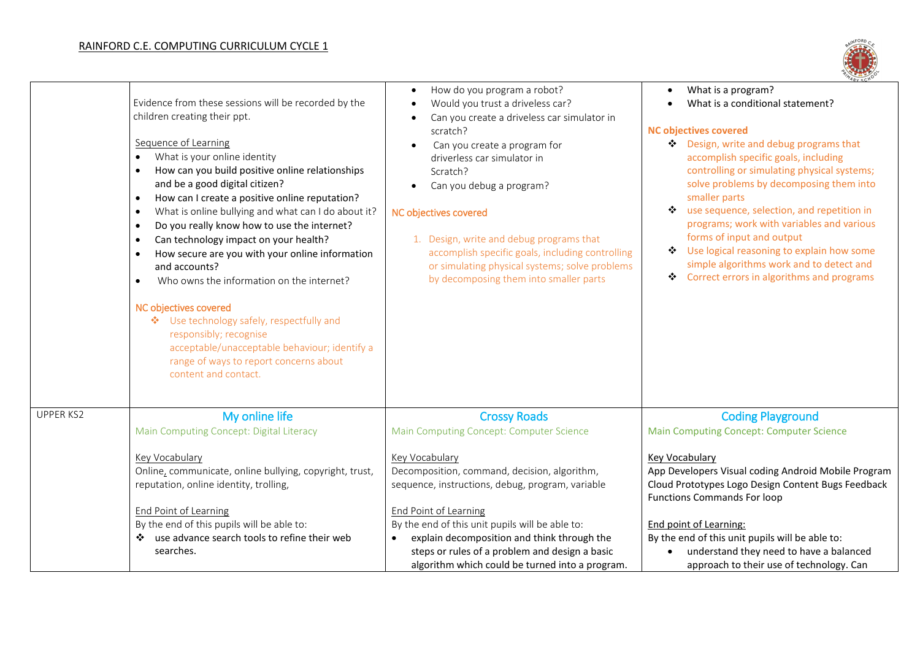## RAINFORD C.E. COMPUTING CURRICULUM CYCLE 1



|                  | Evidence from these sessions will be recorded by the<br>children creating their ppt.<br>Sequence of Learning<br>What is your online identity<br>$\bullet$<br>How can you build positive online relationships<br>$\bullet$<br>and be a good digital citizen?<br>How can I create a positive online reputation?<br>$\bullet$<br>What is online bullying and what can I do about it?<br>$\bullet$<br>Do you really know how to use the internet?<br>$\bullet$<br>Can technology impact on your health?<br>$\bullet$<br>How secure are you with your online information<br>$\bullet$<br>and accounts?<br>Who owns the information on the internet?<br>$\bullet$<br>NC objectives covered<br>❖ Use technology safely, respectfully and<br>responsibly; recognise<br>acceptable/unacceptable behaviour; identify a<br>range of ways to report concerns about<br>content and contact. | How do you program a robot?<br>$\bullet$<br>Would you trust a driveless car?<br>Can you create a driveless car simulator in<br>$\bullet$<br>scratch?<br>Can you create a program for<br>$\bullet$<br>driverless car simulator in<br>Scratch?<br>Can you debug a program?<br>NC objectives covered<br>1. Design, write and debug programs that<br>accomplish specific goals, including controlling<br>or simulating physical systems; solve problems<br>by decomposing them into smaller parts | What is a program?<br>What is a conditional statement?<br><b>NC objectives covered</b><br>❖ Design, write and debug programs that<br>accomplish specific goals, including<br>controlling or simulating physical systems;<br>solve problems by decomposing them into<br>smaller parts<br>use sequence, selection, and repetition in<br>❖<br>programs; work with variables and various<br>forms of input and output<br>Use logical reasoning to explain how some<br>❖<br>simple algorithms work and to detect and<br>Correct errors in algorithms and programs<br>÷ |
|------------------|--------------------------------------------------------------------------------------------------------------------------------------------------------------------------------------------------------------------------------------------------------------------------------------------------------------------------------------------------------------------------------------------------------------------------------------------------------------------------------------------------------------------------------------------------------------------------------------------------------------------------------------------------------------------------------------------------------------------------------------------------------------------------------------------------------------------------------------------------------------------------------|-----------------------------------------------------------------------------------------------------------------------------------------------------------------------------------------------------------------------------------------------------------------------------------------------------------------------------------------------------------------------------------------------------------------------------------------------------------------------------------------------|-------------------------------------------------------------------------------------------------------------------------------------------------------------------------------------------------------------------------------------------------------------------------------------------------------------------------------------------------------------------------------------------------------------------------------------------------------------------------------------------------------------------------------------------------------------------|
| <b>UPPER KS2</b> | My online life<br>Main Computing Concept: Digital Literacy                                                                                                                                                                                                                                                                                                                                                                                                                                                                                                                                                                                                                                                                                                                                                                                                                     | <b>Crossy Roads</b><br>Main Computing Concept: Computer Science                                                                                                                                                                                                                                                                                                                                                                                                                               | <b>Coding Playground</b><br><b>Main Computing Concept: Computer Science</b>                                                                                                                                                                                                                                                                                                                                                                                                                                                                                       |
|                  | Key Vocabulary<br>Online, communicate, online bullying, copyright, trust,<br>reputation, online identity, trolling,                                                                                                                                                                                                                                                                                                                                                                                                                                                                                                                                                                                                                                                                                                                                                            | Key Vocabulary<br>Decomposition, command, decision, algorithm,<br>sequence, instructions, debug, program, variable                                                                                                                                                                                                                                                                                                                                                                            | Key Vocabulary<br>App Developers Visual coding Android Mobile Program<br>Cloud Prototypes Logo Design Content Bugs Feedback<br><b>Functions Commands For loop</b>                                                                                                                                                                                                                                                                                                                                                                                                 |
|                  | End Point of Learning                                                                                                                                                                                                                                                                                                                                                                                                                                                                                                                                                                                                                                                                                                                                                                                                                                                          | <b>End Point of Learning</b>                                                                                                                                                                                                                                                                                                                                                                                                                                                                  |                                                                                                                                                                                                                                                                                                                                                                                                                                                                                                                                                                   |
|                  | By the end of this pupils will be able to:<br>use advance search tools to refine their web<br>❖                                                                                                                                                                                                                                                                                                                                                                                                                                                                                                                                                                                                                                                                                                                                                                                | By the end of this unit pupils will be able to:<br>explain decomposition and think through the<br>$\bullet$                                                                                                                                                                                                                                                                                                                                                                                   | End point of Learning:<br>By the end of this unit pupils will be able to:                                                                                                                                                                                                                                                                                                                                                                                                                                                                                         |
|                  | searches.                                                                                                                                                                                                                                                                                                                                                                                                                                                                                                                                                                                                                                                                                                                                                                                                                                                                      | steps or rules of a problem and design a basic<br>algorithm which could be turned into a program.                                                                                                                                                                                                                                                                                                                                                                                             | understand they need to have a balanced<br>approach to their use of technology. Can                                                                                                                                                                                                                                                                                                                                                                                                                                                                               |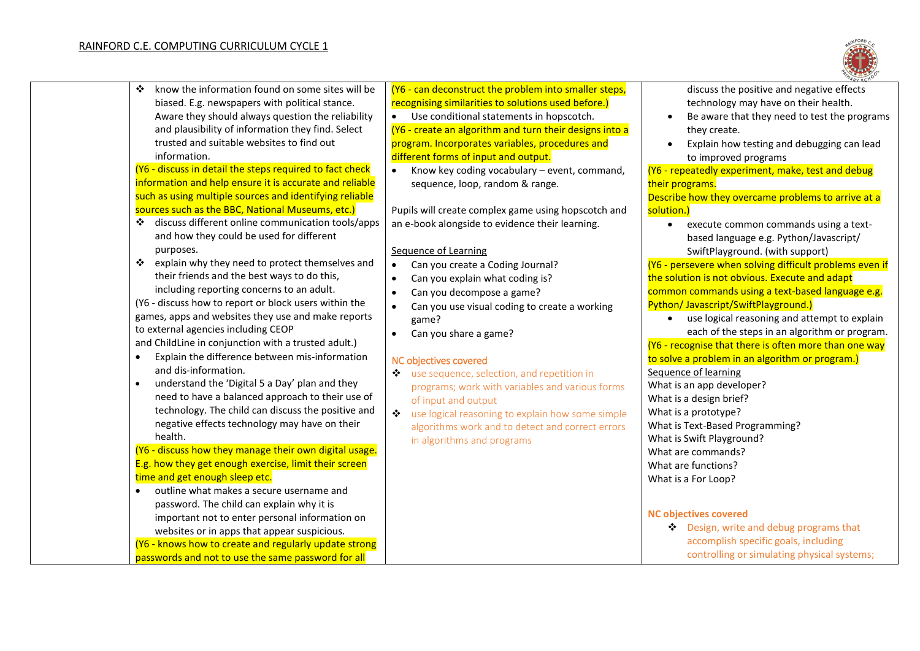

| ❖<br>know the information found on some sites will be                                                       | (Y6 - can deconstruct the problem into smaller steps,      | discuss the positive and negative effects                 |
|-------------------------------------------------------------------------------------------------------------|------------------------------------------------------------|-----------------------------------------------------------|
| biased. E.g. newspapers with political stance.                                                              | recognising similarities to solutions used before.)        | technology may have on their health.                      |
| Aware they should always question the reliability                                                           | Use conditional statements in hopscotch.                   | Be aware that they need to test the programs              |
| and plausibility of information they find. Select                                                           | (Y6 - create an algorithm and turn their designs into a    | they create.                                              |
| trusted and suitable websites to find out                                                                   | program. Incorporates variables, procedures and            | Explain how testing and debugging can lead                |
| information.                                                                                                | different forms of input and output.                       | to improved programs                                      |
| (Y6 - discuss in detail the steps required to fact check                                                    | Know key coding vocabulary - event, command,<br>$\bullet$  | (Y6 - repeatedly experiment, make, test and debug         |
| information and help ensure it is accurate and reliable                                                     | sequence, loop, random & range.                            | their programs.                                           |
| such as using multiple sources and identifying reliable                                                     |                                                            | Describe how they overcame problems to arrive at a        |
| sources such as the BBC, National Museums, etc.)                                                            | Pupils will create complex game using hopscotch and        | solution.)                                                |
| discuss different online communication tools/apps<br>❖                                                      | an e-book alongside to evidence their learning.            | execute common commands using a text-                     |
| and how they could be used for different                                                                    |                                                            | based language e.g. Python/Javascript/                    |
| purposes.                                                                                                   | Sequence of Learning                                       | SwiftPlayground. (with support)                           |
| $\frac{1}{2}$<br>explain why they need to protect themselves and                                            | Can you create a Coding Journal?<br>$\bullet$              | (Y6 - persevere when solving difficult problems even if   |
| their friends and the best ways to do this,                                                                 | Can you explain what coding is?                            | the solution is not obvious. Execute and adapt            |
| including reporting concerns to an adult.                                                                   | Can you decompose a game?<br>$\bullet$                     | common commands using a text-based language e.g.          |
| (Y6 - discuss how to report or block users within the                                                       | Can you use visual coding to create a working<br>$\bullet$ | Python/Javascript/SwiftPlayground.)                       |
| games, apps and websites they use and make reports                                                          | game?                                                      | use logical reasoning and attempt to explain<br>$\bullet$ |
| to external agencies including CEOP                                                                         | Can you share a game?<br>$\bullet$                         | each of the steps in an algorithm or program.             |
| and ChildLine in conjunction with a trusted adult.)                                                         |                                                            | (Y6 - recognise that there is often more than one way     |
| Explain the difference between mis-information                                                              | NC objectives covered                                      | to solve a problem in an algorithm or program.)           |
| and dis-information.                                                                                        | use sequence, selection, and repetition in<br>❖            | Sequence of learning                                      |
| understand the 'Digital 5 a Day' plan and they<br>$\bullet$                                                 | programs; work with variables and various forms            | What is an app developer?                                 |
| need to have a balanced approach to their use of                                                            | of input and output                                        | What is a design brief?                                   |
| technology. The child can discuss the positive and                                                          | use logical reasoning to explain how some simple<br>❖      | What is a prototype?                                      |
| negative effects technology may have on their                                                               | algorithms work and to detect and correct errors           | What is Text-Based Programming?                           |
| health.                                                                                                     | in algorithms and programs                                 | What is Swift Playground?                                 |
| (Y6 - discuss how they manage their own digital usage.                                                      |                                                            | What are commands?                                        |
| E.g. how they get enough exercise, limit their screen                                                       |                                                            | What are functions?                                       |
| time and get enough sleep etc.                                                                              |                                                            | What is a For Loop?                                       |
| outline what makes a secure username and<br>$\bullet$                                                       |                                                            |                                                           |
| password. The child can explain why it is                                                                   |                                                            | <b>NC objectives covered</b>                              |
| important not to enter personal information on                                                              |                                                            | Design, write and debug programs that                     |
| websites or in apps that appear suspicious.                                                                 |                                                            | accomplish specific goals, including                      |
| (Y6 - knows how to create and regularly update strong<br>passwords and not to use the same password for all |                                                            | controlling or simulating physical systems;               |
|                                                                                                             |                                                            |                                                           |